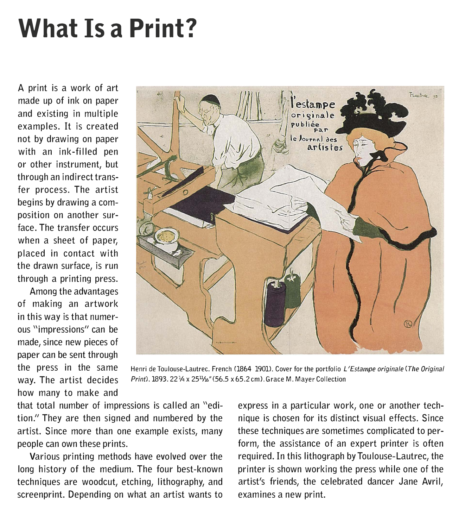# **What Is a Print?**

A print is a work of art made up of ink on paper and existing in multiple examples. It is created not by drawing on paper with an ink-filled pen or other instrument, but through an indirect transfer process. The artist begins by drawing a composition on another surface. The transfer occurs when a sheet of paper, placed in contact with the drawn surface, is run through a printing press.

Among the advantages of making an artwork in this way is that numerous "impressions" can be made, since new pieces of paper can be sent through how many to make and



the press in the same Henri de Toulouse-Lautrec. French (1864-1901). Cover for the portfolio *L'Estampe originate (The Original* way. The artist decides *Printl.1893.* 22¼ x 25<sup>11</sup>/2,,"(56.5 x 65.2 cml. Grace M. Mayer Collection

that total number of impressions is called an "edition." They are then signed and numbered by the artist. Since more than one example exists, many people can own these prints.

Various printing methods have evolved over the long history of the medium. The four best-known techniques are woodcut, etching, lithography, and screenprint. Depending on what an artist wants to

express in a particular work, one or another technique is chosen for its distinct visual effects. Since these techniques are sometimes complicated to perform, the assistance of an expert printer is often required. In this lithograph byToulouse-Lautrec, the printer is shown working the press while one of the artist's friends, the celebrated dancer Jane Avril, examines a new print.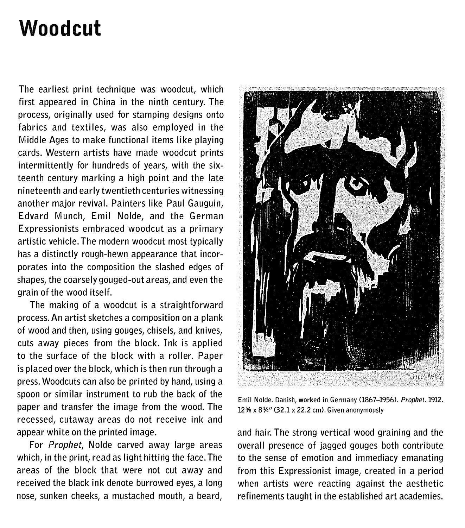#### **Woodcut**

The earliest print technique was woodcut, which first appeared in China in the ninth century. The process, originally used *for* stamping designs onto fabrics and textiles, was also employed in the Middle Ages to make functional items like playing cards. Western artists have made woodcut prints intermittently *for* hundreds of years, with the sixteenth century marking a high point and the late nineteenth and early twentieth centuries witnessing another major revival. Painters like Paul Gauguin, Edvard Munch, Emil Nolde, and the German Expressionists embraced woodcut as a primary artistic vehicle. The modern woodcut most typically has a distinctly rough-hewn appearance that incorporates into the composition the slashed edges of shapes, the coarsely gouged-out areas, and even the grain of the wood itself.

The making of a woodcut is a straightforward process. An artist sketches a composition on a plank of wood and then, using gouges, chisels, and knives, cuts away pieces from the block. Ink is applied to the surface of the block with a roller. Paper is placed over the block, which is then run through a press. Woodcuts can also be printed by hand, using a spoon *or* similar instrument to rub the back of the paper and transfer the image from the wood. The recessed, cutaway areas do not receive ink and appear white on the printed image.

For *Prophet,* Nolde carved away large areas which, in the print, read as light hitting the face. The areas of the block that were not cut away and received the black ink denote burrowed eyes, a long nose, sunken cheeks, a mustached mouth, a beard,



Emil Nolde. Danish, worked in Germany (1867-1956). *Prophet.* 1912. 12% x 8¾" (32.1 x 22.2 cm). Given anonymously

and hair. The strong vertical wood graining and the overall presence of jagged gouges both contribute to the sense of emotion and immediacy emanating from this Expressionist image, created in a period when artists were reacting against the aesthetic refinements taught in the established art academies.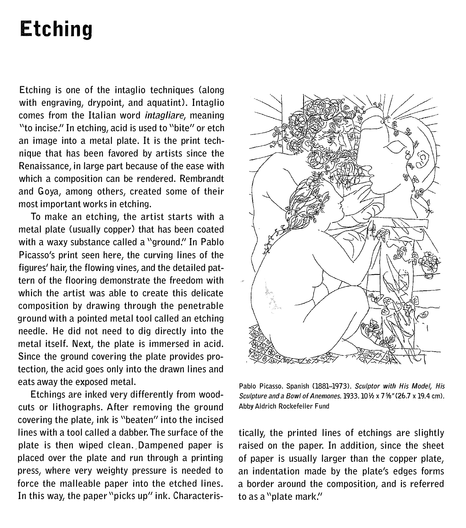## **Etching**

Etching is one of the intaglio techniques (along with engraving, drypoint, and aquatint). Intaglio comes from the Italian word *intagliare,* meaning "to incise." In etching, acid is used to "bite" or etch an image into a metal plate. It is the print technique that has been favored by artists since the Renaissance, in large part because of the ease with which a composition can be rendered. Rembrandt and Goya, among others, created some of their most important works in etching.

To make an etching, the artist starts with a metal plate (usually copper) that has been coated with a waxy substance called a "ground." In Pablo Picasso's print seen here, the curving lines of the figures' hair, the flowing vines, and the detailed pattern of the flooring demonstrate the freedom with which the artist was able to create this delicate composition by drawing through the penetrable ground with a pointed metal tool called an etching needle. He did not need to dig directly into the metal itself. Next, the plate is immersed in acid. Since the ground covering the plate provides protection, the acid goes only into the drawn lines and eats away the exposed metal.

Etchings are inked very differently from woodcuts or lithographs. After removing the ground covering the plate, ink is "beaten" into the incised lines with a tool called a dabber. The surface of the plate is then wiped clean. Dampened paper is placed over the plate and run through a printing press, where very weighty pressure is needed to force the malleable paper into the etched lines. In this way, the paper "picks up" ink. Characteris-



Pablo Picasso. Spanish (1881-1973). *Sculptor with His Model, His Sculpture and a Bowl of Anemones.1933.10½* x 7%"(26.7 x 19.4 cm). Abby Aldrich Rockefeller Fund

tically, the printed lines of etchings are slightly raised on the paper. In addition, since the sheet of paper is usually larger than the copper plate, an indentation made by the plate's edges forms a border around the composition, and is referred to as a "plate mark."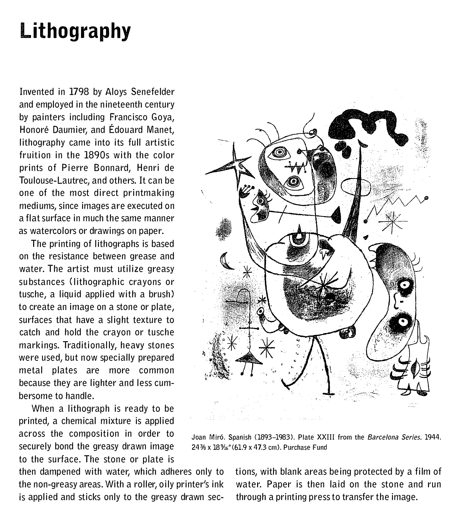#### **Lithography**

Invented in 1798 by Aloys Senefelder and employed in the nineteenth century by painters including Francisco Goya, Honore Daumier, and Edouard Manet, lithography came into its full artistic fruition in the 1890s with the color prints of Pierre Bonnard, Henri de Toulouse-Lautrec, and others. It can be one of the most direct printmaking mediums, since images are executed on a flat surface in much the same manner as watercolors *or* drawings on paper.

The printing of lithographs is based on the resistance between grease and water. The artist must utilize greasy substances (lithographic crayons *or* tusche, a liquid applied with a brush) to create an image on a stone *or* plate, surfaces that have a slight texture to catch and hold the crayon *or* tusche markings. Traditionally, heavy stones were used, but now specially prepared metal plates are more common because they are lighter and less cumbersome to handle.

When a lithograph is ready to be printed, a chemical mixture is applied across the composition in *order* to securely bond the greasy drawn image to the surface. The stone *or* plate is

then dampened with water, which adheres only to the non-greasy areas. With a roller, oily printer's ink is applied and sticks only to the greasy drawn sec-



Joan Miro. Spanish (1893-1983). Plate XXIII from the *Barcelona Series.* 1944. 24% x 18% " (61.9 x 47.3 cm). Purchase Fund

tions, with blank areas being protected by a film of water. Paper is then laid on the stone and run through a printing press to transfer the image.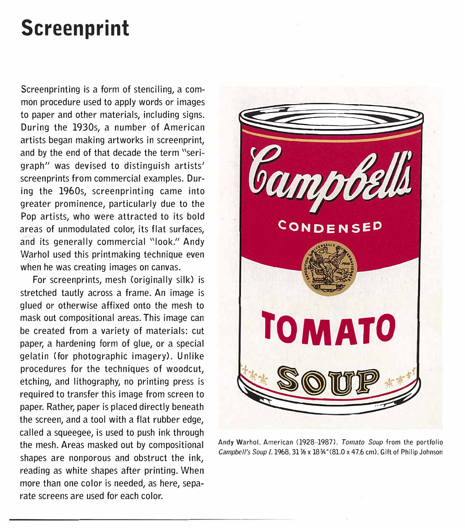## **Screenprint**

Screenprinting is a *form* of stenciling, a common procedure used to apply words *or* images to paper and other materials, including signs. During the 1930s, a number of American artists began making artworks in screenprint, and by the end of that decade the term "serigraph" was devised to distinguish artists' screenprints from commercial examples. During the 1960s, screenprinting came into greater prominence, particularly due to the Pop artists, who were attracted to its bold areas of unmodulated color, its flat surfaces, and its generally commercial "look." Andy Warhol used this printmaking technique even when he was creating images on canvas.

For screenprints, mesh (originally silk) is stretched tautly across a frame. An image is glued *or* otherwise affixed onto the mesh to mask out compositional areas. This image can be created from a variety of materials: cut paper, a hardening *form* of glue, *or* a special gelatin *(for* photographic imagery). Unlike procedures *for* the techniques of woodcut, etching, and lithography, no printing press is required to transfer this image from screen to paper. Rather, paper is placed directly beneath the screen, and a tool with a flat rubber edge, called a squeegee, is used to push ink through the mesh. Areas masked out by compositional shapes are nonporous and obstruct the ink, reading as white shapes after printing. When more than one color is needed, as here, separate screens are used *for* each color.



Andy Warhol. American (1928-1987). *Tomato Soup* from the portfolio *Campbell's Soup* I.1968. 311/s x 18%"(81.0 x 47.6 cm). Gift of Philip Johnson